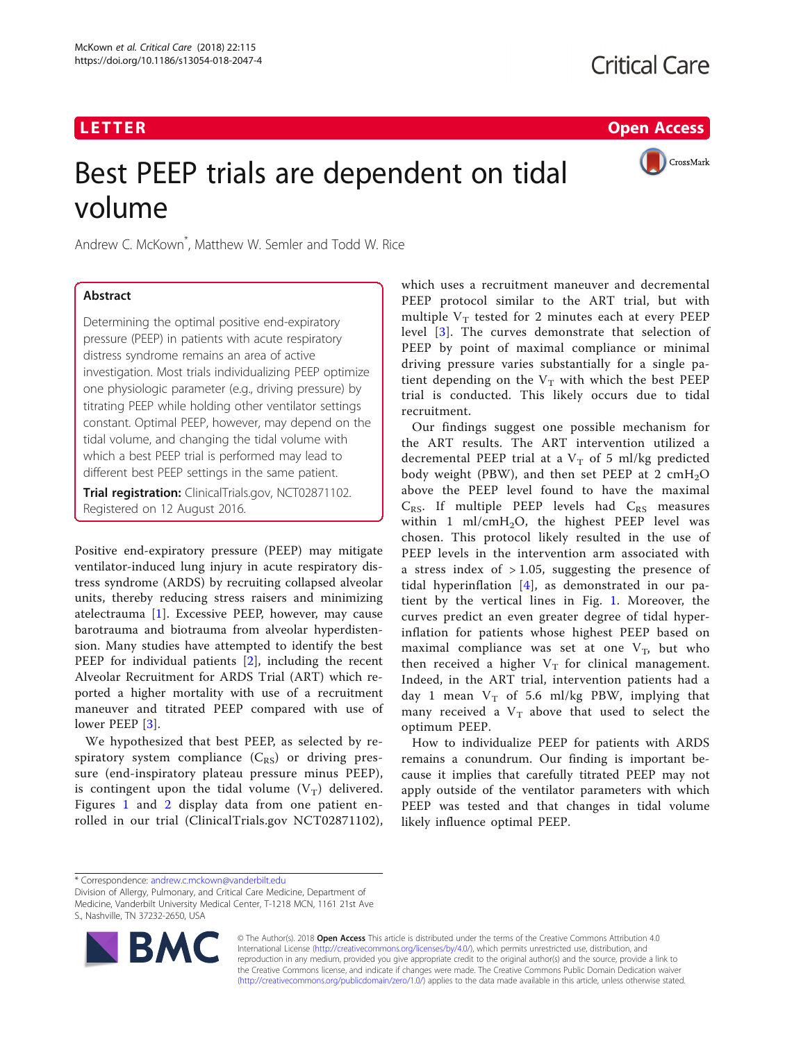## L E T E T T ER OPEN ACCESS AND THE THE TELEVISION OF THE THEORY CONTINUES OF THE THE THEORY CONTINUES OF THE T CrossMark

# Best PEEP trials are dependent on tidal volume

Andrew C. McKown\* , Matthew W. Semler and Todd W. Rice

## Abstract

Determining the optimal positive end-expiratory pressure (PEEP) in patients with acute respiratory distress syndrome remains an area of active investigation. Most trials individualizing PEEP optimize one physiologic parameter (e.g., driving pressure) by titrating PEEP while holding other ventilator settings constant. Optimal PEEP, however, may depend on the tidal volume, and changing the tidal volume with which a best PEEP trial is performed may lead to different best PEEP settings in the same patient.

Trial registration: ClinicalTrials.gov, NCT02871102. Registered on 12 August 2016.

Positive end-expiratory pressure (PEEP) may mitigate ventilator-induced lung injury in acute respiratory distress syndrome (ARDS) by recruiting collapsed alveolar units, thereby reducing stress raisers and minimizing atelectrauma [\[1](#page-1-0)]. Excessive PEEP, however, may cause barotrauma and biotrauma from alveolar hyperdistension. Many studies have attempted to identify the best PEEP for individual patients [[2\]](#page-1-0), including the recent Alveolar Recruitment for ARDS Trial (ART) which reported a higher mortality with use of a recruitment maneuver and titrated PEEP compared with use of lower PEEP [\[3](#page-2-0)].

We hypothesized that best PEEP, as selected by respiratory system compliance  $(C_{RS})$  or driving pressure (end-inspiratory plateau pressure minus PEEP), is contingent upon the tidal volume  $(V_T)$  delivered. Figures [1](#page-1-0) and [2](#page-1-0) display data from one patient enrolled in our trial (ClinicalTrials.gov NCT02871102),

which uses a recruitment maneuver and decremental PEEP protocol similar to the ART trial, but with multiple  $V_T$  tested for 2 minutes each at every PEEP level [\[3](#page-2-0)]. The curves demonstrate that selection of PEEP by point of maximal compliance or minimal driving pressure varies substantially for a single patient depending on the  $V_T$  with which the best PEEP trial is conducted. This likely occurs due to tidal recruitment.

Our findings suggest one possible mechanism for the ART results. The ART intervention utilized a decremental PEEP trial at a  $V_T$  of 5 ml/kg predicted body weight (PBW), and then set PEEP at  $2 \text{ cm}H_2O$ above the PEEP level found to have the maximal  $C_{RS}$ . If multiple PEEP levels had  $C_{RS}$  measures within 1 ml/cmH<sub>2</sub>O, the highest PEEP level was chosen. This protocol likely resulted in the use of PEEP levels in the intervention arm associated with a stress index of  $> 1.05$ , suggesting the presence of tidal hyperinflation [\[4](#page-2-0)], as demonstrated in our patient by the vertical lines in Fig. [1](#page-1-0). Moreover, the curves predict an even greater degree of tidal hyperinflation for patients whose highest PEEP based on maximal compliance was set at one  $V_T$ , but who then received a higher  $V_T$  for clinical management. Indeed, in the ART trial, intervention patients had a day 1 mean  $V_T$  of 5.6 ml/kg PBW, implying that many received a  $V_T$  above that used to select the optimum PEEP.

How to individualize PEEP for patients with ARDS remains a conundrum. Our finding is important because it implies that carefully titrated PEEP may not apply outside of the ventilator parameters with which PEEP was tested and that changes in tidal volume likely influence optimal PEEP.

Division of Allergy, Pulmonary, and Critical Care Medicine, Department of Medicine, Vanderbilt University Medical Center, T-1218 MCN, 1161 21st Ave S., Nashville, TN 37232-2650, USA



© The Author(s). 2018 Open Access This article is distributed under the terms of the Creative Commons Attribution 4.0 International License [\(http://creativecommons.org/licenses/by/4.0/](http://creativecommons.org/licenses/by/4.0/)), which permits unrestricted use, distribution, and reproduction in any medium, provided you give appropriate credit to the original author(s) and the source, provide a link to the Creative Commons license, and indicate if changes were made. The Creative Commons Public Domain Dedication waiver [\(http://creativecommons.org/publicdomain/zero/1.0/](http://creativecommons.org/publicdomain/zero/1.0/)) applies to the data made available in this article, unless otherwise stated.

<sup>\*</sup> Correspondence: [andrew.c.mckown@vanderbilt.edu](mailto:andrew.c.mckown@vanderbilt.edu)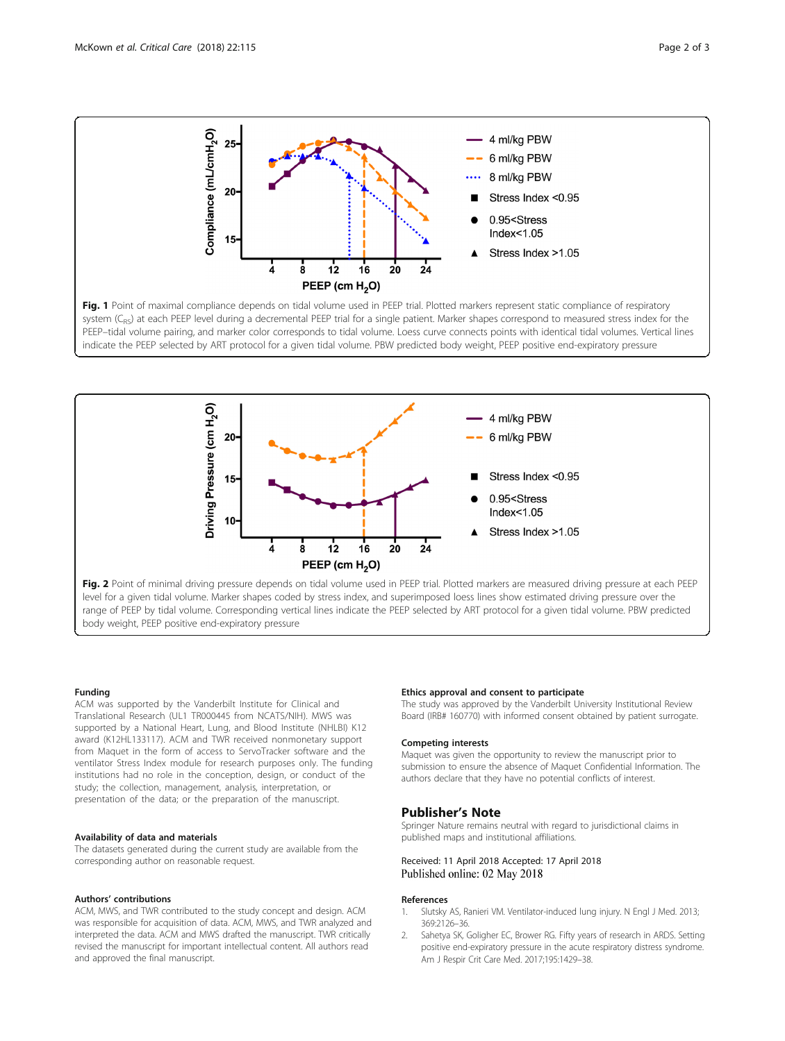<span id="page-1-0"></span>

Fig. 1 Point of maximal compliance depends on tidal volume used in PEEP trial. Plotted markers represent static compliance of respiratory system (C<sub>RS</sub>) at each PEEP level during a decremental PEEP trial for a single patient. Marker shapes correspond to measured stress index for the PEEP–tidal volume pairing, and marker color corresponds to tidal volume. Loess curve connects points with identical tidal volumes. Vertical lines indicate the PEEP selected by ART protocol for a given tidal volume. PBW predicted body weight, PEEP positive end-expiratory pressure



Fig. 2 Point of minimal driving pressure depends on tidal volume used in PEEP trial. Plotted markers are measured driving pressure at each PEEP level for a given tidal volume. Marker shapes coded by stress index, and superimposed loess lines show estimated driving pressure over the range of PEEP by tidal volume. Corresponding vertical lines indicate the PEEP selected by ART protocol for a given tidal volume. PBW predicted body weight, PEEP positive end-expiratory pressure

#### Funding

ACM was supported by the Vanderbilt Institute for Clinical and Translational Research (UL1 TR000445 from NCATS/NIH). MWS was supported by a National Heart, Lung, and Blood Institute (NHLBI) K12 award (K12HL133117). ACM and TWR received nonmonetary support from Maquet in the form of access to ServoTracker software and the ventilator Stress Index module for research purposes only. The funding institutions had no role in the conception, design, or conduct of the study; the collection, management, analysis, interpretation, or presentation of the data; or the preparation of the manuscript.

#### Availability of data and materials

The datasets generated during the current study are available from the corresponding author on reasonable request.

#### Authors' contributions

ACM, MWS, and TWR contributed to the study concept and design. ACM was responsible for acquisition of data. ACM, MWS, and TWR analyzed and interpreted the data. ACM and MWS drafted the manuscript. TWR critically revised the manuscript for important intellectual content. All authors read and approved the final manuscript.

#### Ethics approval and consent to participate

The study was approved by the Vanderbilt University Institutional Review Board (IRB# 160770) with informed consent obtained by patient surrogate.

#### Competing interests

Maquet was given the opportunity to review the manuscript prior to submission to ensure the absence of Maquet Confidential Information. The authors declare that they have no potential conflicts of interest.

Publisher's Note<br>Springer Nature remains neutral with regard to jurisdictional claims in published maps and institutional affiliations.

### Received: 11 April 2018 Accepted: 17 April 2018 Published online: 02 May 2018

#### References

- 1. Slutsky AS, Ranieri VM. Ventilator-induced lung injury. N Engl J Med. 2013; 369:2126–36.
- 2. Sahetya SK, Goligher EC, Brower RG. Fifty years of research in ARDS. Setting positive end-expiratory pressure in the acute respiratory distress syndrome. Am J Respir Crit Care Med. 2017;195:1429–38.